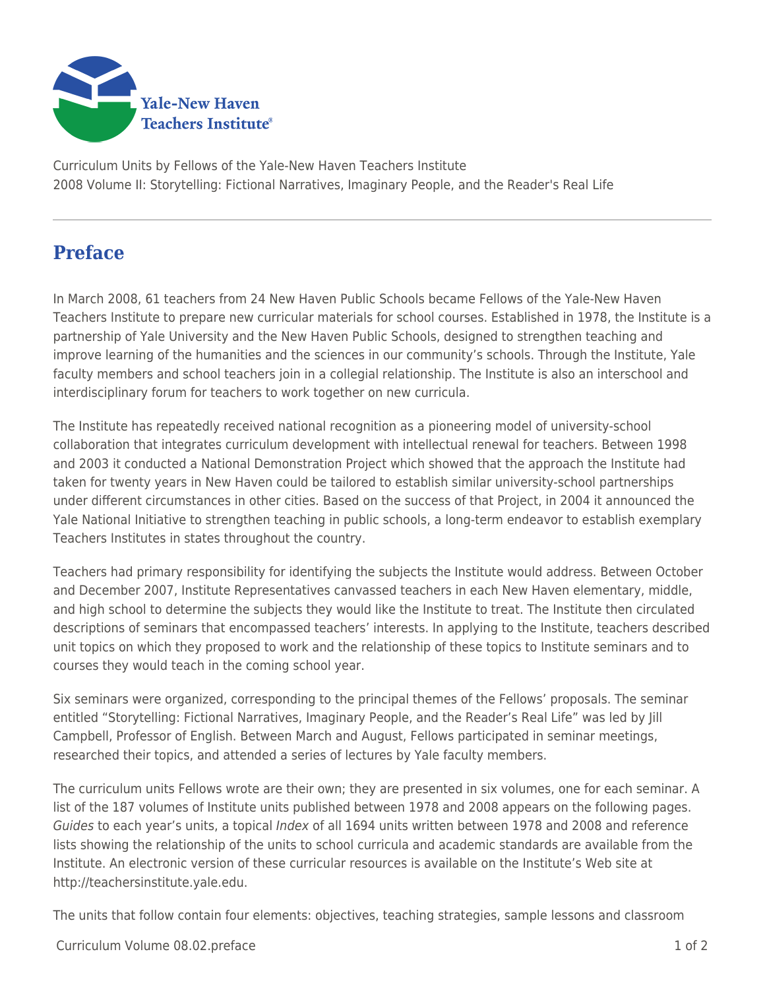

Curriculum Units by Fellows of the Yale-New Haven Teachers Institute 2008 Volume II: Storytelling: Fictional Narratives, Imaginary People, and the Reader's Real Life

## **Preface**

In March 2008, 61 teachers from 24 New Haven Public Schools became Fellows of the Yale-New Haven Teachers Institute to prepare new curricular materials for school courses. Established in 1978, the Institute is a partnership of Yale University and the New Haven Public Schools, designed to strengthen teaching and improve learning of the humanities and the sciences in our community's schools. Through the Institute, Yale faculty members and school teachers join in a collegial relationship. The Institute is also an interschool and interdisciplinary forum for teachers to work together on new curricula.

The Institute has repeatedly received national recognition as a pioneering model of university-school collaboration that integrates curriculum development with intellectual renewal for teachers. Between 1998 and 2003 it conducted a National Demonstration Project which showed that the approach the Institute had taken for twenty years in New Haven could be tailored to establish similar university-school partnerships under different circumstances in other cities. Based on the success of that Project, in 2004 it announced the Yale National Initiative to strengthen teaching in public schools, a long-term endeavor to establish exemplary Teachers Institutes in states throughout the country.

Teachers had primary responsibility for identifying the subjects the Institute would address. Between October and December 2007, Institute Representatives canvassed teachers in each New Haven elementary, middle, and high school to determine the subjects they would like the Institute to treat. The Institute then circulated descriptions of seminars that encompassed teachers' interests. In applying to the Institute, teachers described unit topics on which they proposed to work and the relationship of these topics to Institute seminars and to courses they would teach in the coming school year.

Six seminars were organized, corresponding to the principal themes of the Fellows' proposals. The seminar entitled "Storytelling: Fictional Narratives, Imaginary People, and the Reader's Real Life" was led by Jill Campbell, Professor of English. Between March and August, Fellows participated in seminar meetings, researched their topics, and attended a series of lectures by Yale faculty members.

The curriculum units Fellows wrote are their own; they are presented in six volumes, one for each seminar. A list of the 187 volumes of Institute units published between 1978 and 2008 appears on the following pages. Guides to each year's units, a topical Index of all 1694 units written between 1978 and 2008 and reference lists showing the relationship of the units to school curricula and academic standards are available from the Institute. An electronic version of these curricular resources is available on the Institute's Web site at http://teachersinstitute.yale.edu.

The units that follow contain four elements: objectives, teaching strategies, sample lessons and classroom

Curriculum Volume 08.02.preface 1 of 2